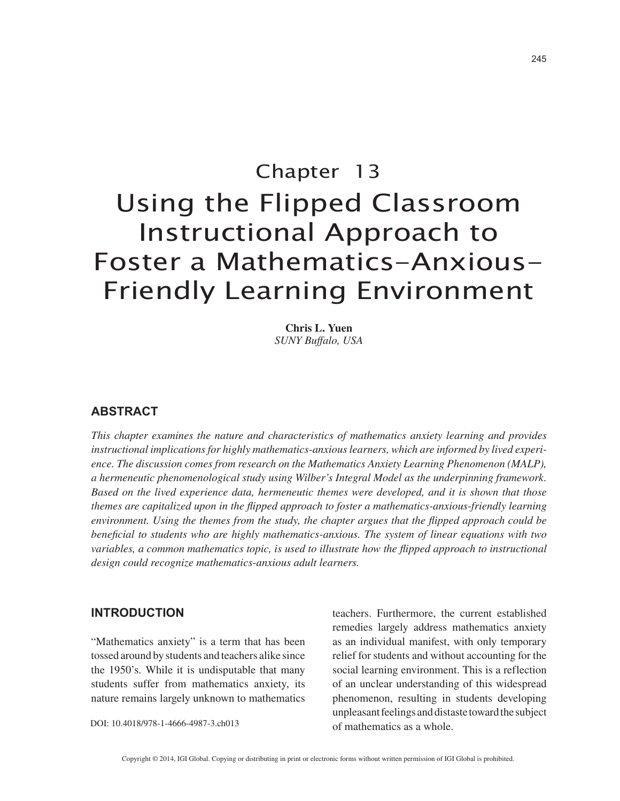# Chapter 13 Using the Flipped Classroom Instructional Approach to Foster a Mathematics-Anxious-Friendly Learning Environment

**Chris L. Yuen** *SUNY Buffalo, USA*

## **ABSTRACT**

*This chapter examines the nature and characteristics of mathematics anxiety learning and provides instructional implications for highly mathematics-anxious learners, which are informed by lived experience. The discussion comes from research on the Mathematics Anxiety Learning Phenomenon (MALP), a hermeneutic phenomenological study using Wilber's Integral Model as the underpinning framework. Based on the lived experience data, hermeneutic themes were developed, and it is shown that those themes are capitalized upon in the flipped approach to foster a mathematics-anxious-friendly learning environment. Using the themes from the study, the chapter argues that the flipped approach could be beneficial to students who are highly mathematics-anxious. The system of linear equations with two variables, a common mathematics topic, is used to illustrate how the flipped approach to instructional design could recognize mathematics-anxious adult learners.*

### **INTRODUCTION**

"Mathematics anxiety" is a term that has been tossed around by students and teachers alike since the 1950's. While it is undisputable that many students suffer from mathematics anxiety, its nature remains largely unknown to mathematics

DOI: 10.4018/978-1-4666-4987-3.ch013

teachers. Furthermore, the current established remedies largely address mathematics anxiety as an individual manifest, with only temporary relief for students and without accounting for the social learning environment. This is a reflection of an unclear understanding of this widespread phenomenon, resulting in students developing unpleasant feelings and distaste toward the subject of mathematics as a whole.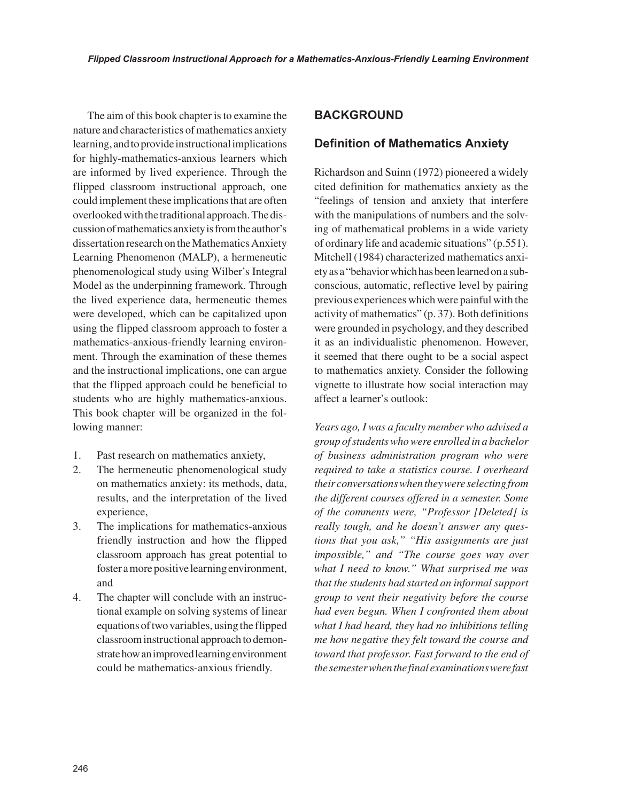The aim of this book chapter is to examine the nature and characteristics of mathematics anxiety learning, and to provide instructional implications for highly-mathematics-anxious learners which are informed by lived experience. Through the flipped classroom instructional approach, one could implement these implications that are often overlooked with the traditional approach. The discussion of mathematics anxiety is from the author's dissertation research on the Mathematics Anxiety Learning Phenomenon (MALP), a hermeneutic phenomenological study using Wilber's Integral Model as the underpinning framework. Through the lived experience data, hermeneutic themes were developed, which can be capitalized upon using the flipped classroom approach to foster a mathematics-anxious-friendly learning environment. Through the examination of these themes and the instructional implications, one can argue that the flipped approach could be beneficial to students who are highly mathematics-anxious. This book chapter will be organized in the following manner:

- 1. Past research on mathematics anxiety,
- 2. The hermeneutic phenomenological study on mathematics anxiety: its methods, data, results, and the interpretation of the lived experience,
- 3. The implications for mathematics-anxious friendly instruction and how the flipped classroom approach has great potential to foster a more positive learning environment, and
- 4. The chapter will conclude with an instructional example on solving systems of linear equations of two variables, using the flipped classroom instructional approach to demonstrate how an improved learning environment could be mathematics-anxious friendly.

# **BACKGROUND**

# **Definition of Mathematics Anxiety**

Richardson and Suinn (1972) pioneered a widely cited definition for mathematics anxiety as the "feelings of tension and anxiety that interfere with the manipulations of numbers and the solving of mathematical problems in a wide variety of ordinary life and academic situations" (p.551). Mitchell (1984) characterized mathematics anxiety as a "behavior which has been learned on a subconscious, automatic, reflective level by pairing previous experiences which were painful with the activity of mathematics" (p. 37). Both definitions were grounded in psychology, and they described it as an individualistic phenomenon. However, it seemed that there ought to be a social aspect to mathematics anxiety. Consider the following vignette to illustrate how social interaction may affect a learner's outlook:

*Years ago, I was a faculty member who advised a group of students who were enrolled in a bachelor of business administration program who were required to take a statistics course. I overheard their conversations when they were selecting from the different courses offered in a semester. Some of the comments were, "Professor [Deleted] is really tough, and he doesn't answer any questions that you ask," "His assignments are just impossible," and "The course goes way over what I need to know." What surprised me was that the students had started an informal support group to vent their negativity before the course had even begun. When I confronted them about what I had heard, they had no inhibitions telling me how negative they felt toward the course and toward that professor. Fast forward to the end of the semester when the final examinations were fast*